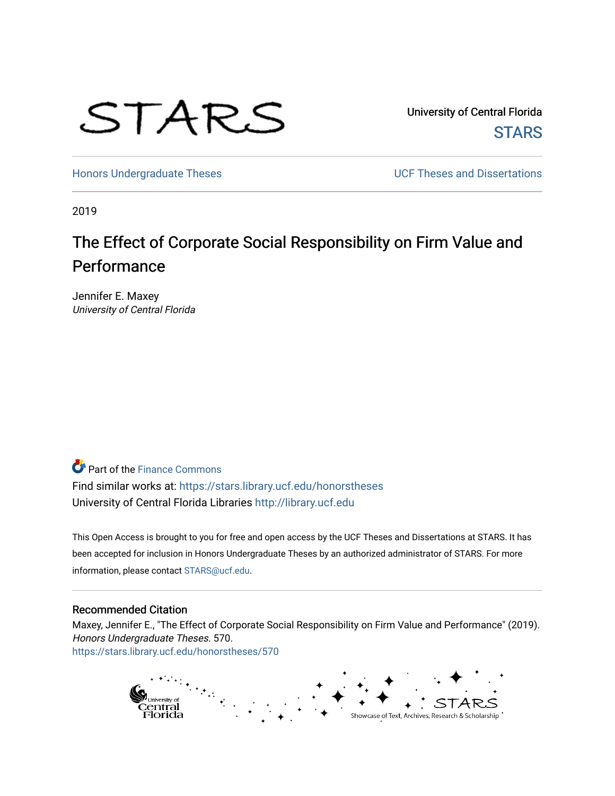

University of Central Florida **STARS** 

[Honors Undergraduate Theses](https://stars.library.ucf.edu/honorstheses) **Exercise 2018** UCF Theses and Dissertations

2019

# The Effect of Corporate Social Responsibility on Firm Value and Performance

Jennifer E. Maxey University of Central Florida

**P** Part of the Finance Commons

Find similar works at: <https://stars.library.ucf.edu/honorstheses> University of Central Florida Libraries [http://library.ucf.edu](http://library.ucf.edu/) 

This Open Access is brought to you for free and open access by the UCF Theses and Dissertations at STARS. It has been accepted for inclusion in Honors Undergraduate Theses by an authorized administrator of STARS. For more information, please contact [STARS@ucf.edu.](mailto:STARS@ucf.edu)

#### Recommended Citation

Maxey, Jennifer E., "The Effect of Corporate Social Responsibility on Firm Value and Performance" (2019). Honors Undergraduate Theses. 570. [https://stars.library.ucf.edu/honorstheses/570](https://stars.library.ucf.edu/honorstheses/570?utm_source=stars.library.ucf.edu%2Fhonorstheses%2F570&utm_medium=PDF&utm_campaign=PDFCoverPages) 

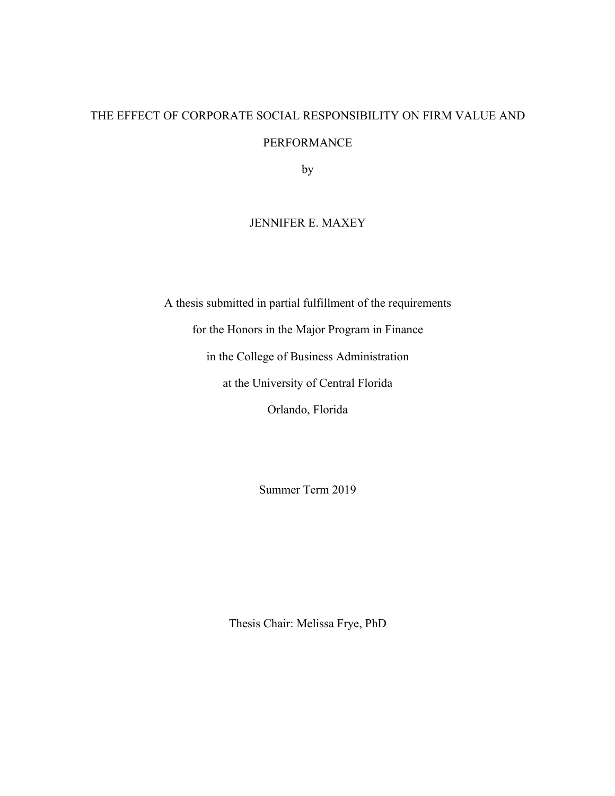# THE EFFECT OF CORPORATE SOCIAL RESPONSIBILITY ON FIRM VALUE AND PERFORMANCE

by

## JENNIFER E. MAXEY

A thesis submitted in partial fulfillment of the requirements

for the Honors in the Major Program in Finance

in the College of Business Administration

at the University of Central Florida

Orlando, Florida

Summer Term 2019

Thesis Chair: Melissa Frye, PhD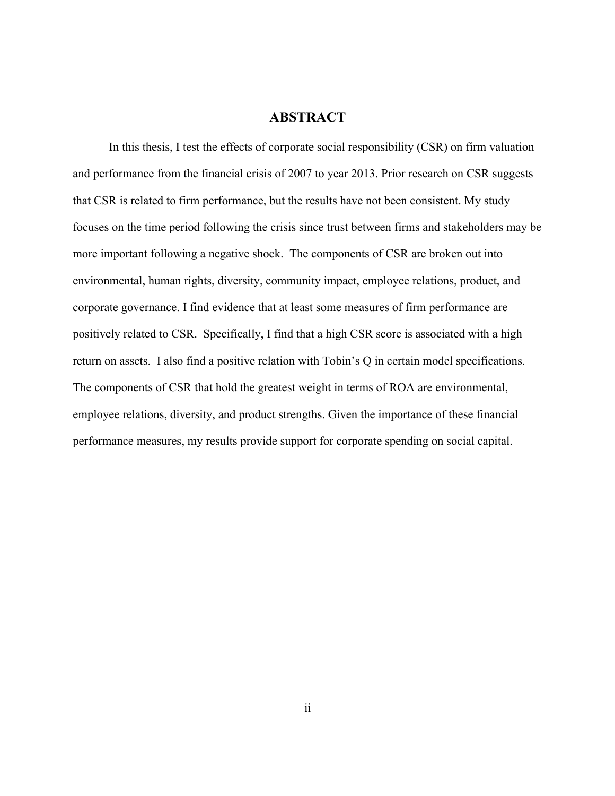### **ABSTRACT**

In this thesis, I test the effects of corporate social responsibility (CSR) on firm valuation and performance from the financial crisis of 2007 to year 2013. Prior research on CSR suggests that CSR is related to firm performance, but the results have not been consistent. My study focuses on the time period following the crisis since trust between firms and stakeholders may be more important following a negative shock. The components of CSR are broken out into environmental, human rights, diversity, community impact, employee relations, product, and corporate governance. I find evidence that at least some measures of firm performance are positively related to CSR. Specifically, I find that a high CSR score is associated with a high return on assets. I also find a positive relation with Tobin's Q in certain model specifications. The components of CSR that hold the greatest weight in terms of ROA are environmental, employee relations, diversity, and product strengths. Given the importance of these financial performance measures, my results provide support for corporate spending on social capital.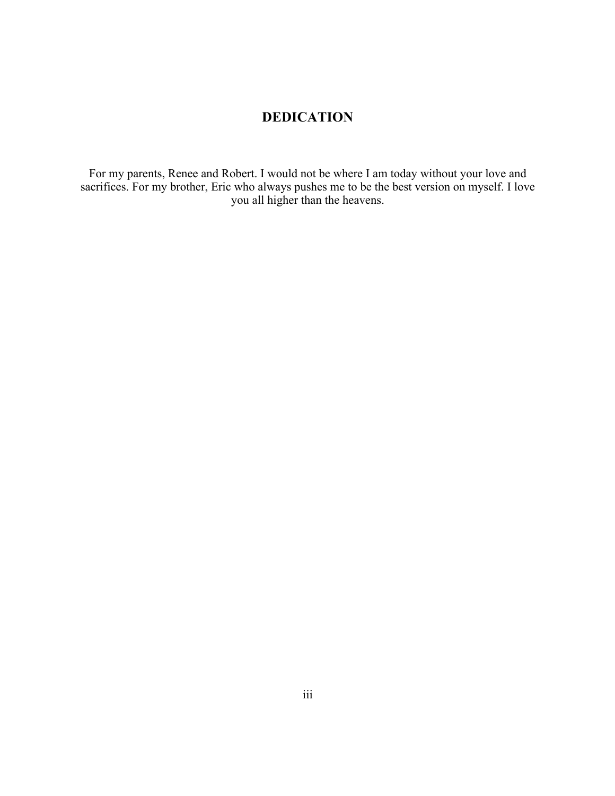# **DEDICATION**

For my parents, Renee and Robert. I would not be where I am today without your love and sacrifices. For my brother, Eric who always pushes me to be the best version on myself. I love you all higher than the heavens.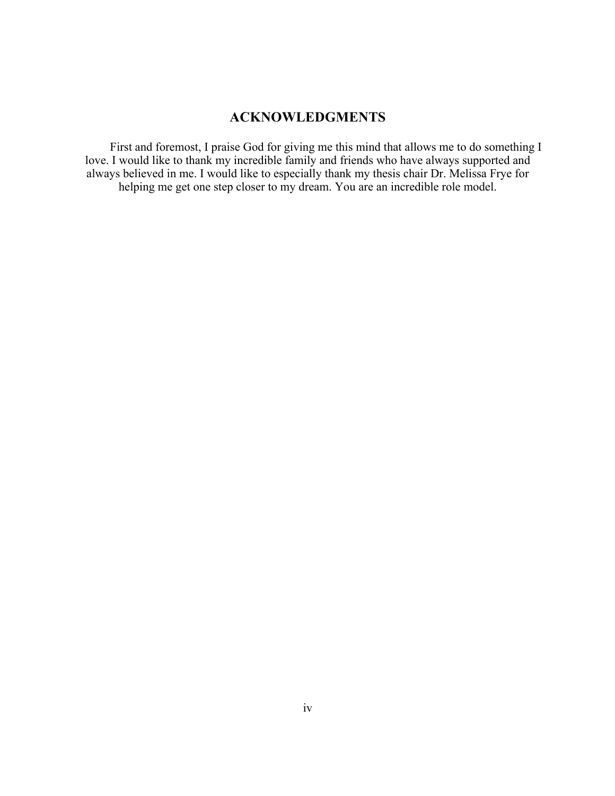# **ACKNOWLEDGMENTS**

First and foremost, I praise God for giving me this mind that allows me to do something I love. I would like to thank my incredible family and friends who have always supported and always believed in me. I would like to especially thank my thesis chair Dr. Melissa Frye for helping me get one step closer to my dream. You are an incredible role model.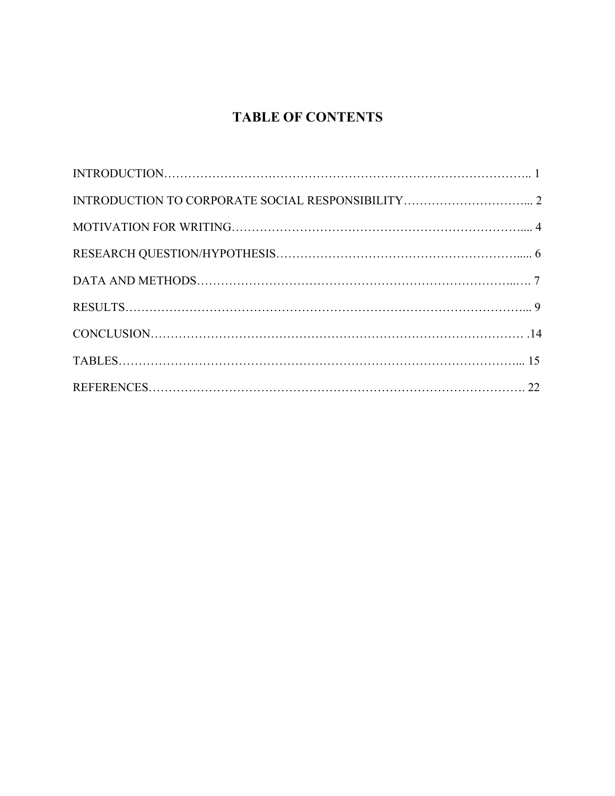# **TABLE OF CONTENTS**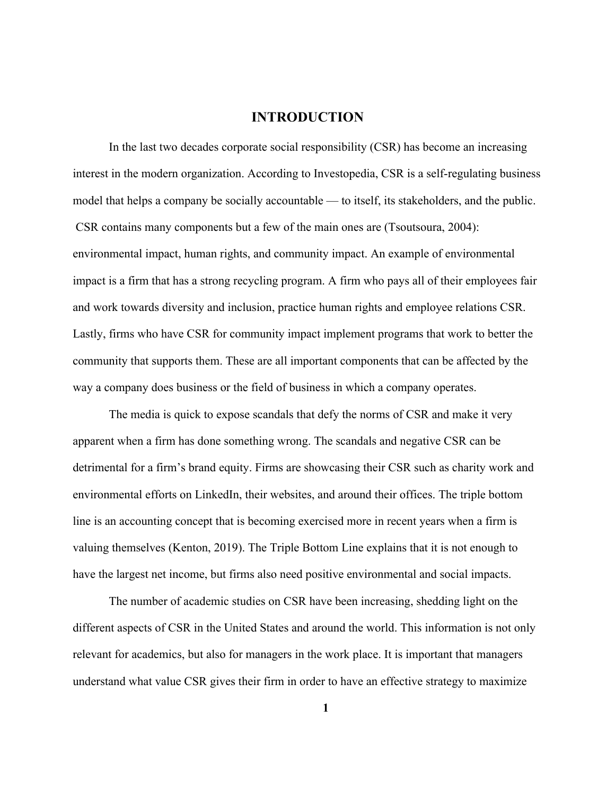### **INTRODUCTION**

In the last two decades corporate social responsibility (CSR) has become an increasing interest in the modern organization. According to Investopedia, CSR is a self-regulating business model that helps a company be socially accountable — to itself, its stakeholders, and the public. CSR contains many components but a few of the main ones are (Tsoutsoura, 2004): environmental impact, human rights, and community impact. An example of environmental impact is a firm that has a strong recycling program. A firm who pays all of their employees fair and work towards diversity and inclusion, practice human rights and employee relations CSR. Lastly, firms who have CSR for community impact implement programs that work to better the community that supports them. These are all important components that can be affected by the way a company does business or the field of business in which a company operates.

The media is quick to expose scandals that defy the norms of CSR and make it very apparent when a firm has done something wrong. The scandals and negative CSR can be detrimental for a firm's brand equity. Firms are showcasing their CSR such as charity work and environmental efforts on LinkedIn, their websites, and around their offices. The triple bottom line is an accounting concept that is becoming exercised more in recent years when a firm is valuing themselves (Kenton, 2019). The Triple Bottom Line explains that it is not enough to have the largest net income, but firms also need positive environmental and social impacts.

The number of academic studies on CSR have been increasing, shedding light on the different aspects of CSR in the United States and around the world. This information is not only relevant for academics, but also for managers in the work place. It is important that managers understand what value CSR gives their firm in order to have an effective strategy to maximize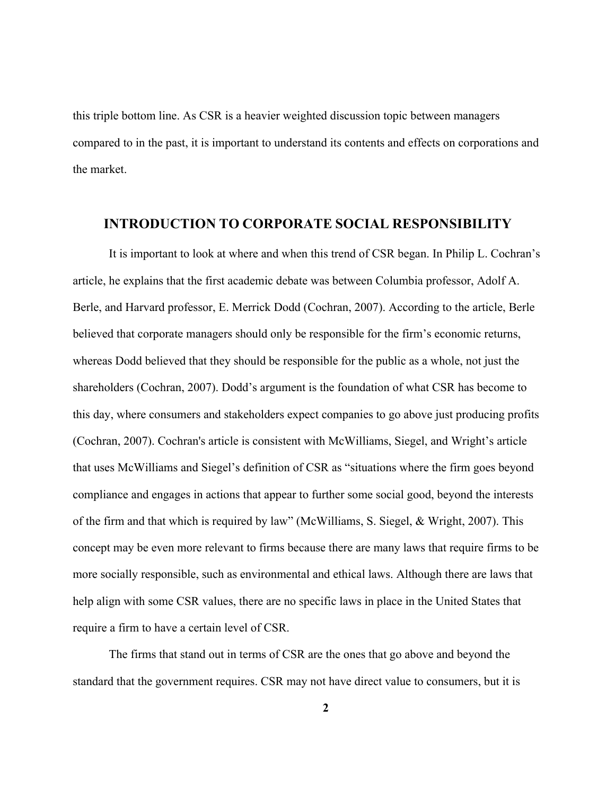this triple bottom line. As CSR is a heavier weighted discussion topic between managers compared to in the past, it is important to understand its contents and effects on corporations and the market.

#### **INTRODUCTION TO CORPORATE SOCIAL RESPONSIBILITY**

It is important to look at where and when this trend of CSR began. In Philip L. Cochran's article, he explains that the first academic debate was between Columbia professor, Adolf A. Berle, and Harvard professor, E. Merrick Dodd (Cochran, 2007). According to the article, Berle believed that corporate managers should only be responsible for the firm's economic returns, whereas Dodd believed that they should be responsible for the public as a whole, not just the shareholders (Cochran, 2007). Dodd's argument is the foundation of what CSR has become to this day, where consumers and stakeholders expect companies to go above just producing profits (Cochran, 2007). Cochran's article is consistent with McWilliams, Siegel, and Wright's article that uses McWilliams and Siegel's definition of CSR as "situations where the firm goes beyond compliance and engages in actions that appear to further some social good, beyond the interests of the firm and that which is required by law" (McWilliams, S. Siegel, & Wright, 2007). This concept may be even more relevant to firms because there are many laws that require firms to be more socially responsible, such as environmental and ethical laws. Although there are laws that help align with some CSR values, there are no specific laws in place in the United States that require a firm to have a certain level of CSR.

The firms that stand out in terms of CSR are the ones that go above and beyond the standard that the government requires. CSR may not have direct value to consumers, but it is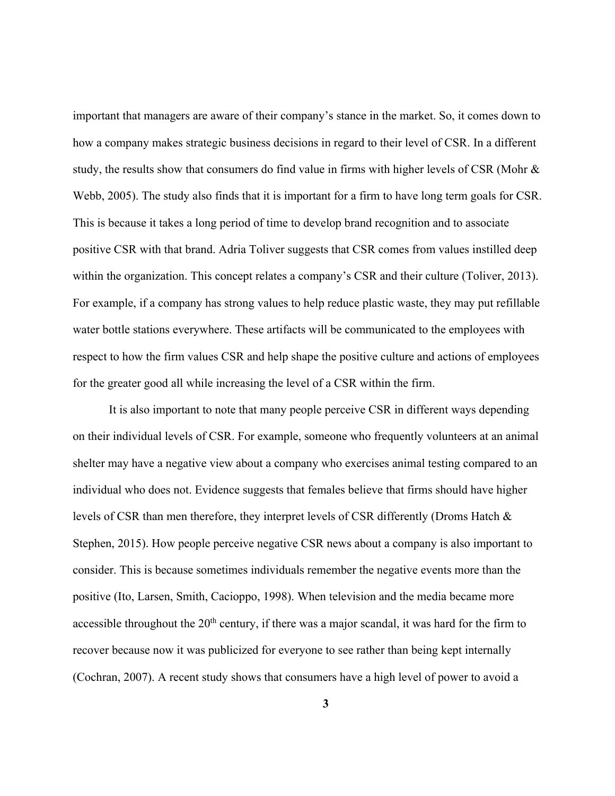important that managers are aware of their company's stance in the market. So, it comes down to how a company makes strategic business decisions in regard to their level of CSR. In a different study, the results show that consumers do find value in firms with higher levels of CSR (Mohr & Webb, 2005). The study also finds that it is important for a firm to have long term goals for CSR. This is because it takes a long period of time to develop brand recognition and to associate positive CSR with that brand. Adria Toliver suggests that CSR comes from values instilled deep within the organization. This concept relates a company's CSR and their culture (Toliver, 2013). For example, if a company has strong values to help reduce plastic waste, they may put refillable water bottle stations everywhere. These artifacts will be communicated to the employees with respect to how the firm values CSR and help shape the positive culture and actions of employees for the greater good all while increasing the level of a CSR within the firm.

It is also important to note that many people perceive CSR in different ways depending on their individual levels of CSR. For example, someone who frequently volunteers at an animal shelter may have a negative view about a company who exercises animal testing compared to an individual who does not. Evidence suggests that females believe that firms should have higher levels of CSR than men therefore, they interpret levels of CSR differently (Droms Hatch & Stephen, 2015). How people perceive negative CSR news about a company is also important to consider. This is because sometimes individuals remember the negative events more than the positive (Ito, Larsen, Smith, Cacioppo, 1998). When television and the media became more accessible throughout the  $20<sup>th</sup>$  century, if there was a major scandal, it was hard for the firm to recover because now it was publicized for everyone to see rather than being kept internally (Cochran, 2007). A recent study shows that consumers have a high level of power to avoid a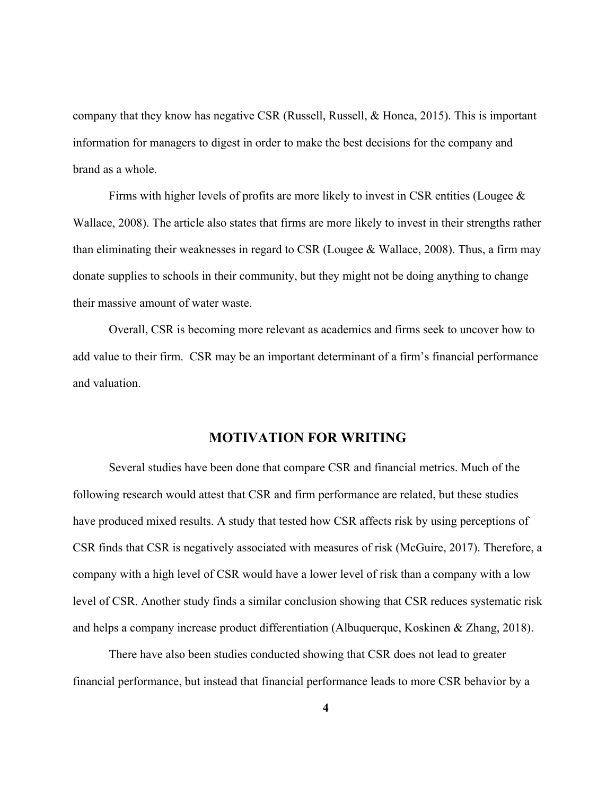company that they know has negative CSR (Russell, Russell, & Honea, 2015). This is important information for managers to digest in order to make the best decisions for the company and brand as a whole.

Firms with higher levels of profits are more likely to invest in CSR entities (Lougee  $\&$ Wallace, 2008). The article also states that firms are more likely to invest in their strengths rather than eliminating their weaknesses in regard to CSR (Lougee & Wallace, 2008). Thus, a firm may donate supplies to schools in their community, but they might not be doing anything to change their massive amount of water waste.

Overall, CSR is becoming more relevant as academics and firms seek to uncover how to add value to their firm. CSR may be an important determinant of a firm's financial performance and valuation.

### **MOTIVATION FOR WRITING**

Several studies have been done that compare CSR and financial metrics. Much of the following research would attest that CSR and firm performance are related, but these studies have produced mixed results. A study that tested how CSR affects risk by using perceptions of CSR finds that CSR is negatively associated with measures of risk (McGuire, 2017). Therefore, a company with a high level of CSR would have a lower level of risk than a company with a low level of CSR. Another study finds a similar conclusion showing that CSR reduces systematic risk and helps a company increase product differentiation (Albuquerque, Koskinen & Zhang, 2018).

There have also been studies conducted showing that CSR does not lead to greater financial performance, but instead that financial performance leads to more CSR behavior by a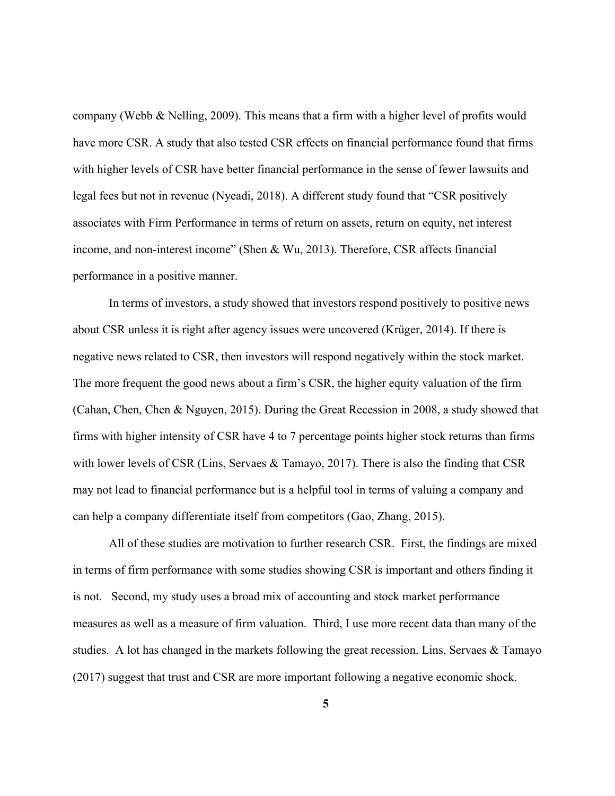company (Webb & Nelling, 2009). This means that a firm with a higher level of profits would have more CSR. A study that also tested CSR effects on financial performance found that firms with higher levels of CSR have better financial performance in the sense of fewer lawsuits and legal fees but not in revenue (Nyeadi, 2018). A different study found that "CSR positively associates with Firm Performance in terms of return on assets, return on equity, net interest income, and non-interest income" (Shen & Wu, 2013). Therefore, CSR affects financial performance in a positive manner.

In terms of investors, a study showed that investors respond positively to positive news about CSR unless it is right after agency issues were uncovered (Krüger, 2014). If there is negative news related to CSR, then investors will respond negatively within the stock market. The more frequent the good news about a firm's CSR, the higher equity valuation of the firm (Cahan, Chen, Chen & Nguyen, 2015). During the Great Recession in 2008, a study showed that firms with higher intensity of CSR have 4 to 7 percentage points higher stock returns than firms with lower levels of CSR (Lins, Servaes & Tamayo, 2017). There is also the finding that CSR may not lead to financial performance but is a helpful tool in terms of valuing a company and can help a company differentiate itself from competitors (Gao, Zhang, 2015).

All of these studies are motivation to further research CSR. First, the findings are mixed in terms of firm performance with some studies showing CSR is important and others finding it is not. Second, my study uses a broad mix of accounting and stock market performance measures as well as a measure of firm valuation. Third, I use more recent data than many of the studies. A lot has changed in the markets following the great recession. Lins, Servaes & Tamayo (2017) suggest that trust and CSR are more important following a negative economic shock.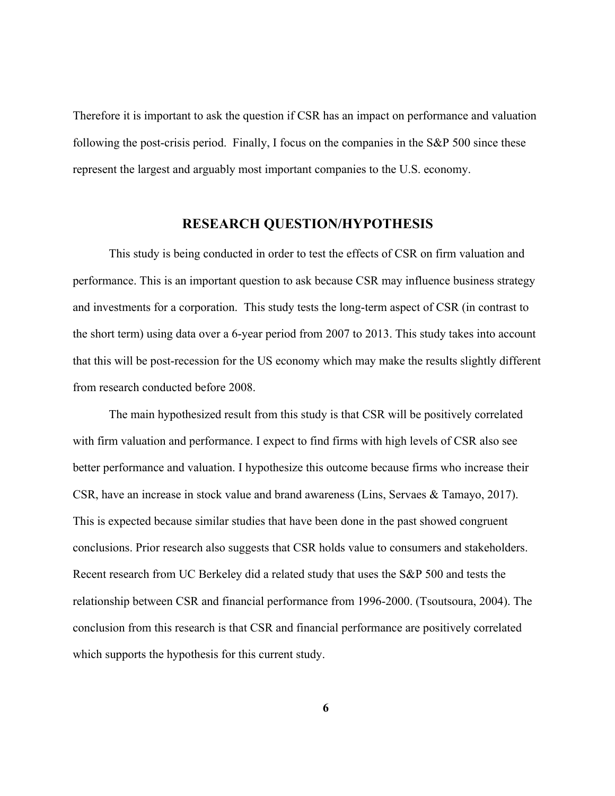Therefore it is important to ask the question if CSR has an impact on performance and valuation following the post-crisis period. Finally, I focus on the companies in the S&P 500 since these represent the largest and arguably most important companies to the U.S. economy.

#### **RESEARCH QUESTION/HYPOTHESIS**

This study is being conducted in order to test the effects of CSR on firm valuation and performance. This is an important question to ask because CSR may influence business strategy and investments for a corporation. This study tests the long-term aspect of CSR (in contrast to the short term) using data over a 6-year period from 2007 to 2013. This study takes into account that this will be post-recession for the US economy which may make the results slightly different from research conducted before 2008.

The main hypothesized result from this study is that CSR will be positively correlated with firm valuation and performance. I expect to find firms with high levels of CSR also see better performance and valuation. I hypothesize this outcome because firms who increase their CSR, have an increase in stock value and brand awareness (Lins, Servaes & Tamayo, 2017). This is expected because similar studies that have been done in the past showed congruent conclusions. Prior research also suggests that CSR holds value to consumers and stakeholders. Recent research from UC Berkeley did a related study that uses the S&P 500 and tests the relationship between CSR and financial performance from 1996-2000. (Tsoutsoura, 2004). The conclusion from this research is that CSR and financial performance are positively correlated which supports the hypothesis for this current study.

**6**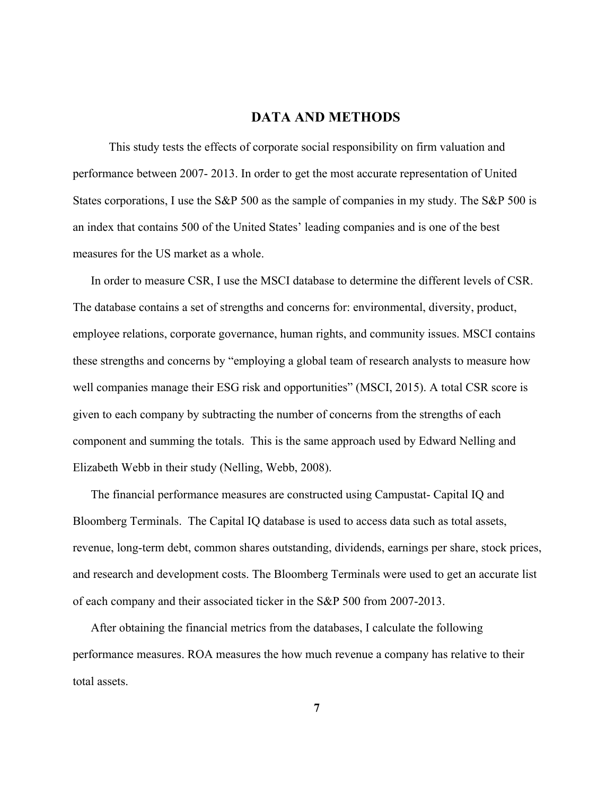### **DATA AND METHODS**

This study tests the effects of corporate social responsibility on firm valuation and performance between 2007- 2013. In order to get the most accurate representation of United States corporations, I use the S&P 500 as the sample of companies in my study. The S&P 500 is an index that contains 500 of the United States' leading companies and is one of the best measures for the US market as a whole.

In order to measure CSR, I use the MSCI database to determine the different levels of CSR. The database contains a set of strengths and concerns for: environmental, diversity, product, employee relations, corporate governance, human rights, and community issues. MSCI contains these strengths and concerns by "employing a global team of research analysts to measure how well companies manage their ESG risk and opportunities" (MSCI, 2015). A total CSR score is given to each company by subtracting the number of concerns from the strengths of each component and summing the totals. This is the same approach used by Edward Nelling and Elizabeth Webb in their study (Nelling, Webb, 2008).

The financial performance measures are constructed using Campustat- Capital IQ and Bloomberg Terminals. The Capital IQ database is used to access data such as total assets, revenue, long-term debt, common shares outstanding, dividends, earnings per share, stock prices, and research and development costs. The Bloomberg Terminals were used to get an accurate list of each company and their associated ticker in the S&P 500 from 2007-2013.

After obtaining the financial metrics from the databases, I calculate the following performance measures. ROA measures the how much revenue a company has relative to their total assets.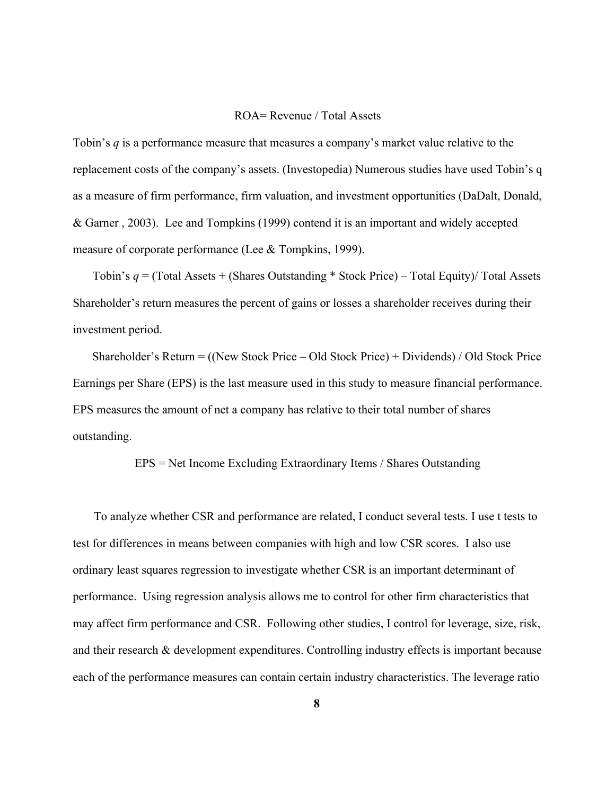#### ROA= Revenue / Total Assets

Tobin's *q* is a performance measure that measures a company's market value relative to the replacement costs of the company's assets. (Investopedia) Numerous studies have used Tobin's q as a measure of firm performance, firm valuation, and investment opportunities (DaDalt, Donald, & Garner , 2003). Lee and Tompkins (1999) contend it is an important and widely accepted measure of corporate performance (Lee & Tompkins, 1999).

Tobin's *q* = (Total Assets + (Shares Outstanding \* Stock Price) – Total Equity)/ Total Assets Shareholder's return measures the percent of gains or losses a shareholder receives during their investment period.

Shareholder's Return = ((New Stock Price – Old Stock Price) + Dividends) / Old Stock Price Earnings per Share (EPS) is the last measure used in this study to measure financial performance. EPS measures the amount of net a company has relative to their total number of shares outstanding.

#### EPS = Net Income Excluding Extraordinary Items / Shares Outstanding

To analyze whether CSR and performance are related, I conduct several tests. I use t tests to test for differences in means between companies with high and low CSR scores. I also use ordinary least squares regression to investigate whether CSR is an important determinant of performance. Using regression analysis allows me to control for other firm characteristics that may affect firm performance and CSR. Following other studies, I control for leverage, size, risk, and their research & development expenditures. Controlling industry effects is important because each of the performance measures can contain certain industry characteristics. The leverage ratio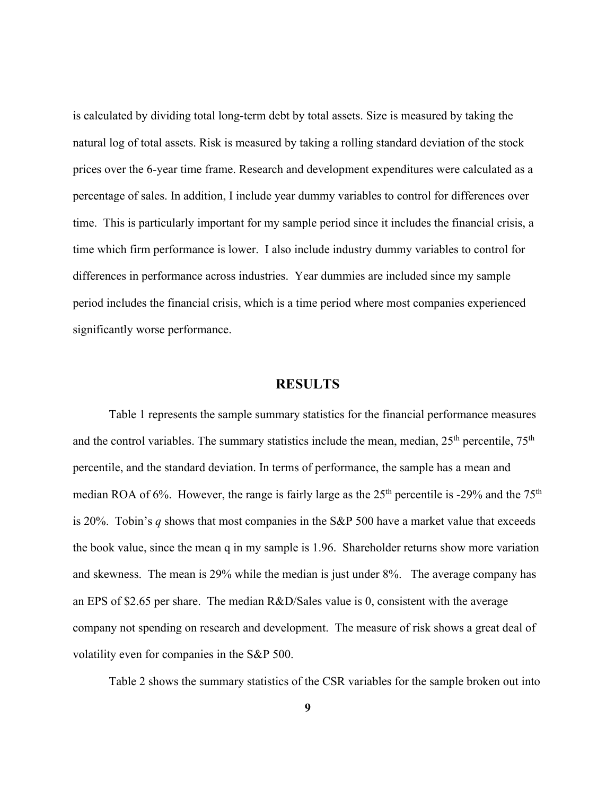is calculated by dividing total long-term debt by total assets. Size is measured by taking the natural log of total assets. Risk is measured by taking a rolling standard deviation of the stock prices over the 6-year time frame. Research and development expenditures were calculated as a percentage of sales. In addition, I include year dummy variables to control for differences over time. This is particularly important for my sample period since it includes the financial crisis, a time which firm performance is lower. I also include industry dummy variables to control for differences in performance across industries. Year dummies are included since my sample period includes the financial crisis, which is a time period where most companies experienced significantly worse performance.

#### **RESULTS**

Table 1 represents the sample summary statistics for the financial performance measures and the control variables. The summary statistics include the mean, median,  $25<sup>th</sup>$  percentile,  $75<sup>th</sup>$ percentile, and the standard deviation. In terms of performance, the sample has a mean and median ROA of 6%. However, the range is fairly large as the  $25<sup>th</sup>$  percentile is -29% and the  $75<sup>th</sup>$ is 20%. Tobin's *q* shows that most companies in the S&P 500 have a market value that exceeds the book value, since the mean q in my sample is 1.96. Shareholder returns show more variation and skewness. The mean is 29% while the median is just under 8%. The average company has an EPS of \$2.65 per share. The median R&D/Sales value is 0, consistent with the average company not spending on research and development. The measure of risk shows a great deal of volatility even for companies in the S&P 500.

Table 2 shows the summary statistics of the CSR variables for the sample broken out into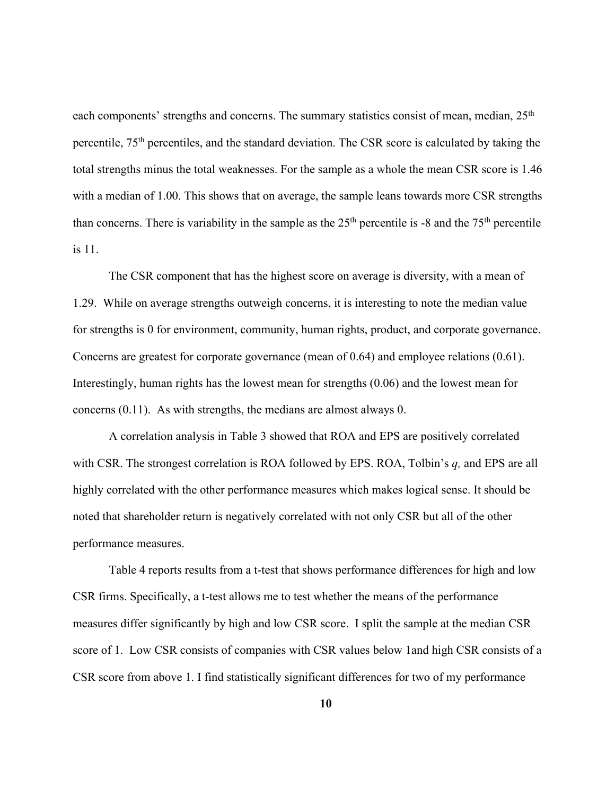each components' strengths and concerns. The summary statistics consist of mean, median, 25<sup>th</sup> percentile, 75th percentiles, and the standard deviation. The CSR score is calculated by taking the total strengths minus the total weaknesses. For the sample as a whole the mean CSR score is 1.46 with a median of 1.00. This shows that on average, the sample leans towards more CSR strengths than concerns. There is variability in the sample as the  $25<sup>th</sup>$  percentile is -8 and the  $75<sup>th</sup>$  percentile is 11.

The CSR component that has the highest score on average is diversity, with a mean of 1.29. While on average strengths outweigh concerns, it is interesting to note the median value for strengths is 0 for environment, community, human rights, product, and corporate governance. Concerns are greatest for corporate governance (mean of 0.64) and employee relations (0.61). Interestingly, human rights has the lowest mean for strengths (0.06) and the lowest mean for concerns (0.11). As with strengths, the medians are almost always 0.

A correlation analysis in Table 3 showed that ROA and EPS are positively correlated with CSR. The strongest correlation is ROA followed by EPS. ROA, Tolbin's *q,* and EPS are all highly correlated with the other performance measures which makes logical sense. It should be noted that shareholder return is negatively correlated with not only CSR but all of the other performance measures.

Table 4 reports results from a t-test that shows performance differences for high and low CSR firms. Specifically, a t-test allows me to test whether the means of the performance measures differ significantly by high and low CSR score. I split the sample at the median CSR score of 1. Low CSR consists of companies with CSR values below 1and high CSR consists of a CSR score from above 1. I find statistically significant differences for two of my performance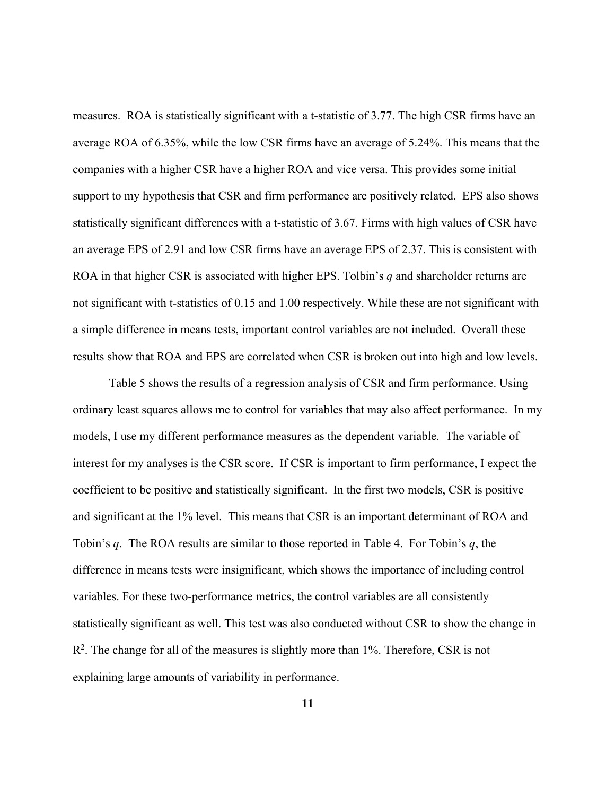measures. ROA is statistically significant with a t-statistic of 3.77. The high CSR firms have an average ROA of 6.35%, while the low CSR firms have an average of 5.24%. This means that the companies with a higher CSR have a higher ROA and vice versa. This provides some initial support to my hypothesis that CSR and firm performance are positively related. EPS also shows statistically significant differences with a t-statistic of 3.67. Firms with high values of CSR have an average EPS of 2.91 and low CSR firms have an average EPS of 2.37. This is consistent with ROA in that higher CSR is associated with higher EPS. Tolbin's *q* and shareholder returns are not significant with t-statistics of 0.15 and 1.00 respectively. While these are not significant with a simple difference in means tests, important control variables are not included. Overall these results show that ROA and EPS are correlated when CSR is broken out into high and low levels.

Table 5 shows the results of a regression analysis of CSR and firm performance. Using ordinary least squares allows me to control for variables that may also affect performance. In my models, I use my different performance measures as the dependent variable. The variable of interest for my analyses is the CSR score. If CSR is important to firm performance, I expect the coefficient to be positive and statistically significant. In the first two models, CSR is positive and significant at the 1% level. This means that CSR is an important determinant of ROA and Tobin's *q*. The ROA results are similar to those reported in Table 4. For Tobin's *q*, the difference in means tests were insignificant, which shows the importance of including control variables. For these two-performance metrics, the control variables are all consistently statistically significant as well. This test was also conducted without CSR to show the change in  $R<sup>2</sup>$ . The change for all of the measures is slightly more than 1%. Therefore, CSR is not explaining large amounts of variability in performance.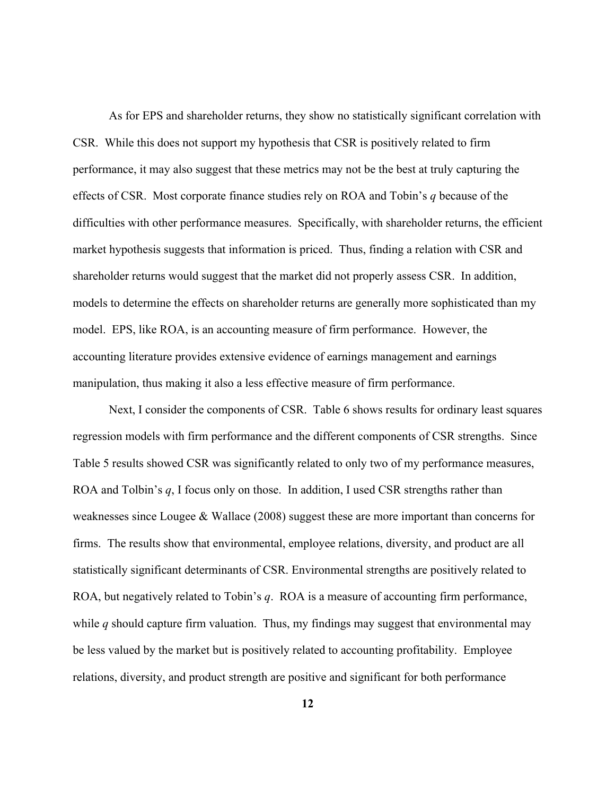As for EPS and shareholder returns, they show no statistically significant correlation with CSR. While this does not support my hypothesis that CSR is positively related to firm performance, it may also suggest that these metrics may not be the best at truly capturing the effects of CSR. Most corporate finance studies rely on ROA and Tobin's *q* because of the difficulties with other performance measures. Specifically, with shareholder returns, the efficient market hypothesis suggests that information is priced. Thus, finding a relation with CSR and shareholder returns would suggest that the market did not properly assess CSR. In addition, models to determine the effects on shareholder returns are generally more sophisticated than my model. EPS, like ROA, is an accounting measure of firm performance. However, the accounting literature provides extensive evidence of earnings management and earnings manipulation, thus making it also a less effective measure of firm performance.

Next, I consider the components of CSR. Table 6 shows results for ordinary least squares regression models with firm performance and the different components of CSR strengths. Since Table 5 results showed CSR was significantly related to only two of my performance measures, ROA and Tolbin's *q*, I focus only on those. In addition, I used CSR strengths rather than weaknesses since Lougee & Wallace (2008) suggest these are more important than concerns for firms. The results show that environmental, employee relations, diversity, and product are all statistically significant determinants of CSR. Environmental strengths are positively related to ROA, but negatively related to Tobin's *q*. ROA is a measure of accounting firm performance, while *q* should capture firm valuation. Thus, my findings may suggest that environmental may be less valued by the market but is positively related to accounting profitability. Employee relations, diversity, and product strength are positive and significant for both performance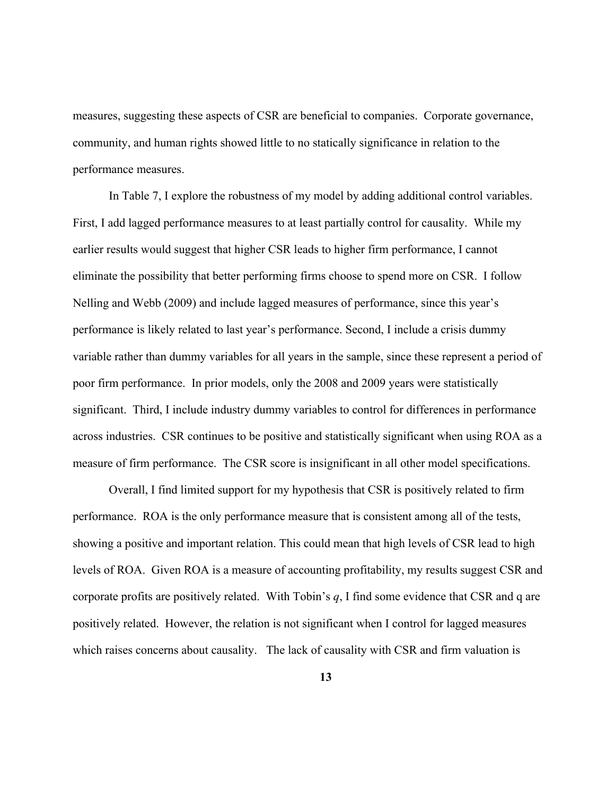measures, suggesting these aspects of CSR are beneficial to companies. Corporate governance, community, and human rights showed little to no statically significance in relation to the performance measures.

In Table 7, I explore the robustness of my model by adding additional control variables. First, I add lagged performance measures to at least partially control for causality. While my earlier results would suggest that higher CSR leads to higher firm performance, I cannot eliminate the possibility that better performing firms choose to spend more on CSR. I follow Nelling and Webb (2009) and include lagged measures of performance, since this year's performance is likely related to last year's performance. Second, I include a crisis dummy variable rather than dummy variables for all years in the sample, since these represent a period of poor firm performance. In prior models, only the 2008 and 2009 years were statistically significant. Third, I include industry dummy variables to control for differences in performance across industries. CSR continues to be positive and statistically significant when using ROA as a measure of firm performance. The CSR score is insignificant in all other model specifications.

Overall, I find limited support for my hypothesis that CSR is positively related to firm performance. ROA is the only performance measure that is consistent among all of the tests, showing a positive and important relation. This could mean that high levels of CSR lead to high levels of ROA. Given ROA is a measure of accounting profitability, my results suggest CSR and corporate profits are positively related. With Tobin's *q*, I find some evidence that CSR and q are positively related. However, the relation is not significant when I control for lagged measures which raises concerns about causality. The lack of causality with CSR and firm valuation is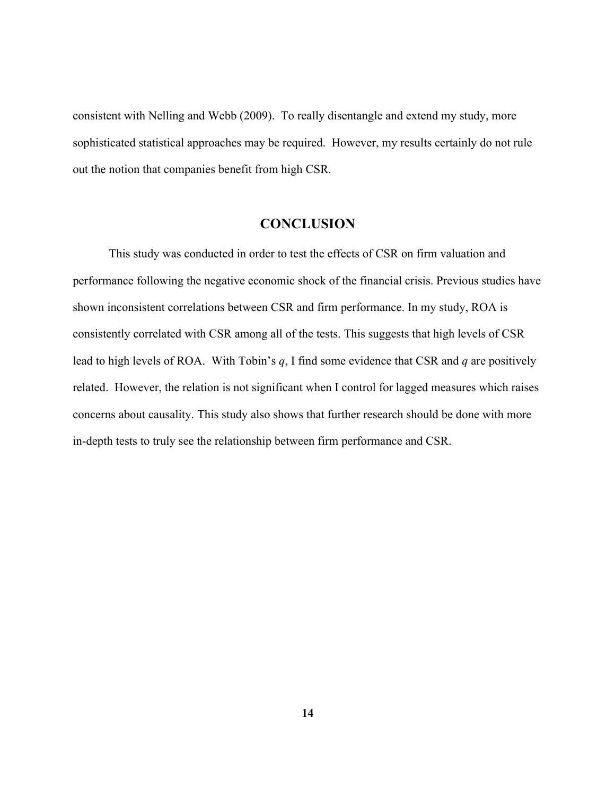consistent with Nelling and Webb (2009). To really disentangle and extend my study, more sophisticated statistical approaches may be required. However, my results certainly do not rule out the notion that companies benefit from high CSR.

### **CONCLUSION**

This study was conducted in order to test the effects of CSR on firm valuation and performance following the negative economic shock of the financial crisis. Previous studies have shown inconsistent correlations between CSR and firm performance. In my study, ROA is consistently correlated with CSR among all of the tests. This suggests that high levels of CSR lead to high levels of ROA. With Tobin's *q*, I find some evidence that CSR and *q* are positively related. However, the relation is not significant when I control for lagged measures which raises concerns about causality. This study also shows that further research should be done with more in-depth tests to truly see the relationship between firm performance and CSR.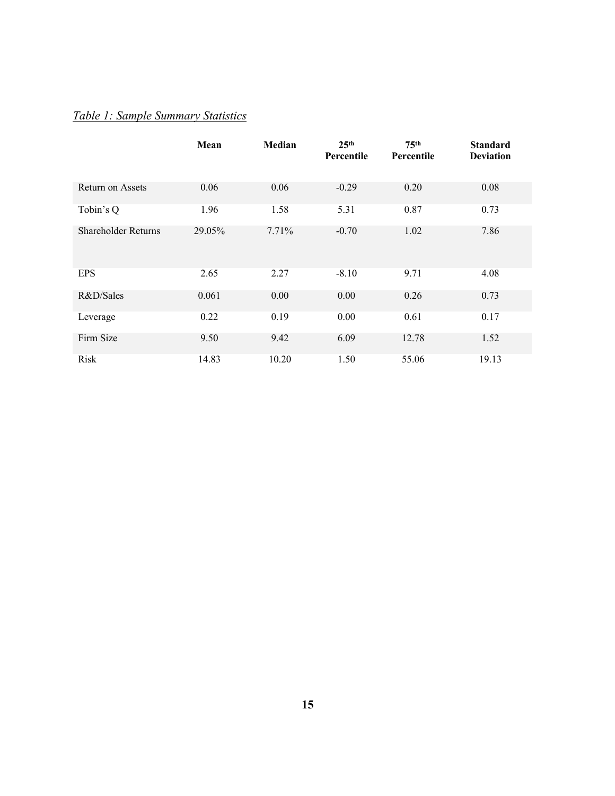# *Table 1: Sample Summary Statistics*

|                            | Mean   | Median | 25 <sup>th</sup><br>Percentile | 75 <sup>th</sup><br>Percentile | <b>Standard</b><br><b>Deviation</b> |
|----------------------------|--------|--------|--------------------------------|--------------------------------|-------------------------------------|
| Return on Assets           | 0.06   | 0.06   | $-0.29$                        | 0.20                           | 0.08                                |
| Tobin's Q                  | 1.96   | 1.58   | 5.31                           | 0.87                           | 0.73                                |
| <b>Shareholder Returns</b> | 29.05% | 7.71%  | $-0.70$                        | 1.02                           | 7.86                                |
| <b>EPS</b>                 | 2.65   | 2.27   | $-8.10$                        | 9.71                           | 4.08                                |
| R&D/Sales                  | 0.061  | 0.00   | 0.00                           | 0.26                           | 0.73                                |
| Leverage                   | 0.22   | 0.19   | 0.00                           | 0.61                           | 0.17                                |
| Firm Size                  | 9.50   | 9.42   | 6.09                           | 12.78                          | 1.52                                |
| Risk                       | 14.83  | 10.20  | 1.50                           | 55.06                          | 19.13                               |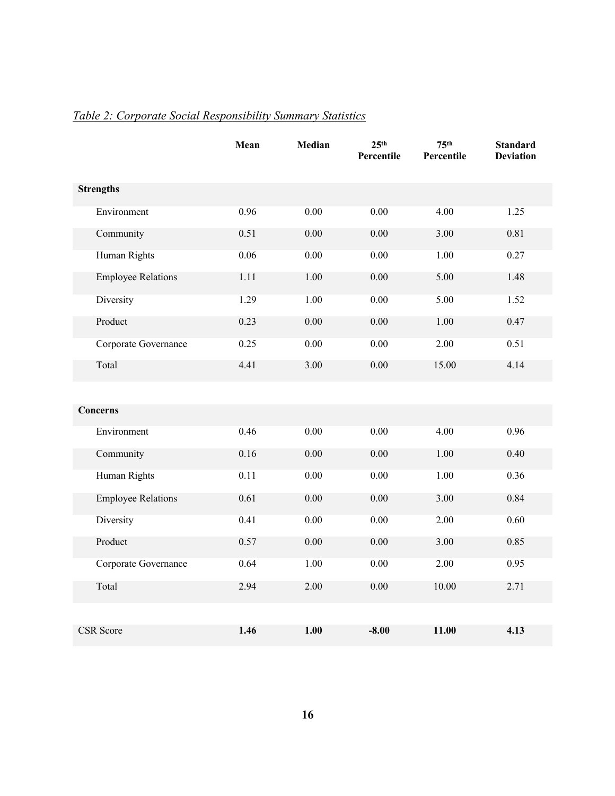|                           | Mean | Median   | 25 <sup>th</sup><br>Percentile | 75 <sup>th</sup><br>Percentile | <b>Standard</b><br><b>Deviation</b> |
|---------------------------|------|----------|--------------------------------|--------------------------------|-------------------------------------|
| <b>Strengths</b>          |      |          |                                |                                |                                     |
| Environment               | 0.96 | $0.00\,$ | $0.00\,$                       | 4.00                           | 1.25                                |
| Community                 | 0.51 | 0.00     | 0.00                           | 3.00                           | 0.81                                |
| Human Rights              | 0.06 | 0.00     | 0.00                           | 1.00                           | 0.27                                |
| <b>Employee Relations</b> | 1.11 | 1.00     | 0.00                           | 5.00                           | 1.48                                |
| Diversity                 | 1.29 | 1.00     | 0.00                           | 5.00                           | 1.52                                |
| Product                   | 0.23 | 0.00     | 0.00                           | 1.00                           | 0.47                                |
| Corporate Governance      | 0.25 | 0.00     | 0.00                           | 2.00                           | 0.51                                |
| Total                     | 4.41 | 3.00     | 0.00                           | 15.00                          | 4.14                                |
|                           |      |          |                                |                                |                                     |
| <b>Concerns</b>           |      |          |                                |                                |                                     |
| Environment               | 0.46 | 0.00     | 0.00                           | 4.00                           | 0.96                                |
| Community                 | 0.16 | 0.00     | 0.00                           | 1.00                           | 0.40                                |
| Human Rights              | 0.11 | 0.00     | 0.00                           | 1.00                           | 0.36                                |
| <b>Employee Relations</b> | 0.61 | $0.00\,$ | $0.00\,$                       | 3.00                           | 0.84                                |
| Diversity                 | 0.41 | 0.00     | 0.00                           | 2.00                           | 0.60                                |
| Product                   | 0.57 | 0.00     | 0.00                           | 3.00                           | 0.85                                |
| Corporate Governance      | 0.64 | 1.00     | 0.00                           | 2.00                           | 0.95                                |
| Total                     | 2.94 | 2.00     | 0.00                           | 10.00                          | 2.71                                |
|                           |      |          |                                |                                |                                     |
| <b>CSR</b> Score          | 1.46 | 1.00     | $-8.00$                        | 11.00                          | 4.13                                |

# *Table 2: Corporate Social Responsibility Summary Statistics*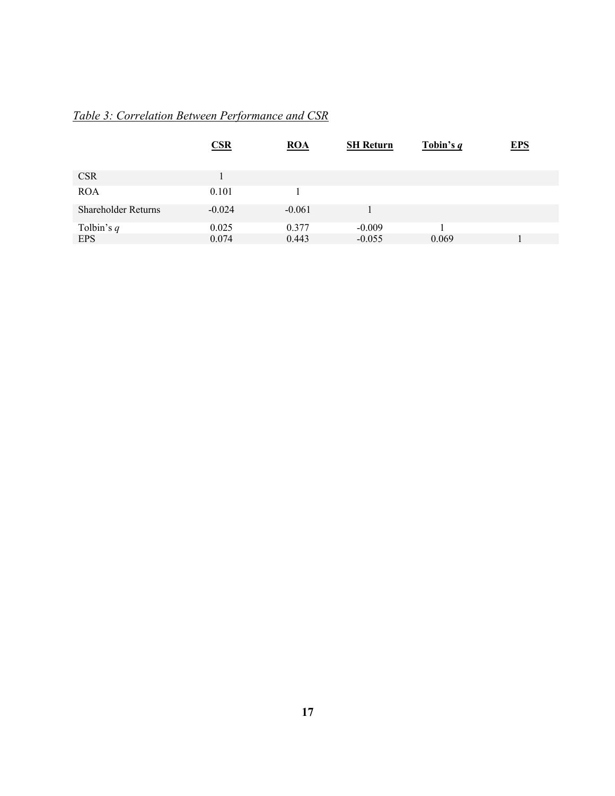# *Table 3: Correlation Between Performance and CSR*

|                     | CSR      | ROA      | <b>SH Return</b> | Tobin's $q$ | <b>EPS</b> |
|---------------------|----------|----------|------------------|-------------|------------|
| <b>CSR</b>          |          |          |                  |             |            |
| <b>ROA</b>          | 0.101    |          |                  |             |            |
| Shareholder Returns | $-0.024$ | $-0.061$ |                  |             |            |
| Tolbin's $q$        | 0.025    | 0.377    | $-0.009$         |             |            |
| <b>EPS</b>          | 0.074    | 0.443    | $-0.055$         | 0.069       |            |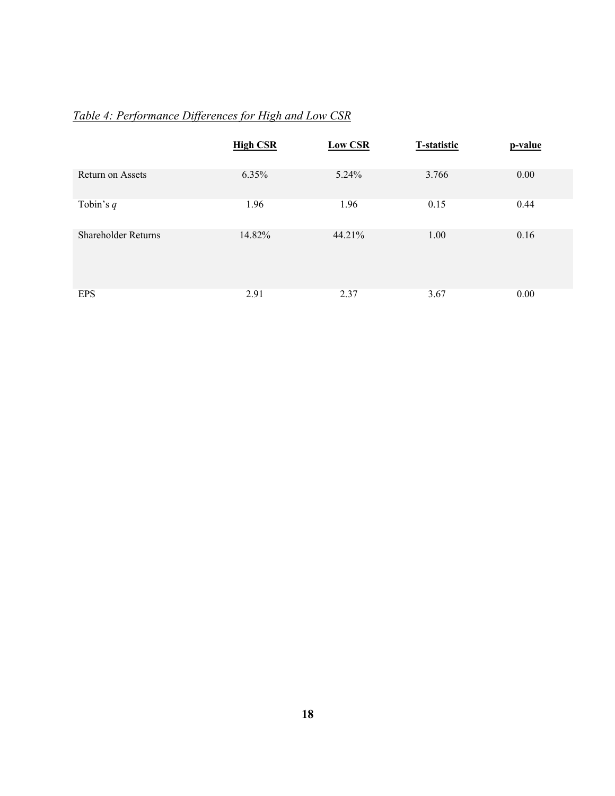# *Table 4: Performance Differences for High and Low CSR*

|                            | <b>High CSR</b> | <b>Low CSR</b> | <b>T-statistic</b> | p-value |
|----------------------------|-----------------|----------------|--------------------|---------|
| Return on Assets           | 6.35%           | 5.24%          | 3.766              | 0.00    |
| Tobin's $q$                | 1.96            | 1.96           | 0.15               | 0.44    |
| <b>Shareholder Returns</b> | 14.82%          | 44.21%         | 1.00               | 0.16    |
| <b>EPS</b>                 | 2.91            | 2.37           | 3.67               | 0.00    |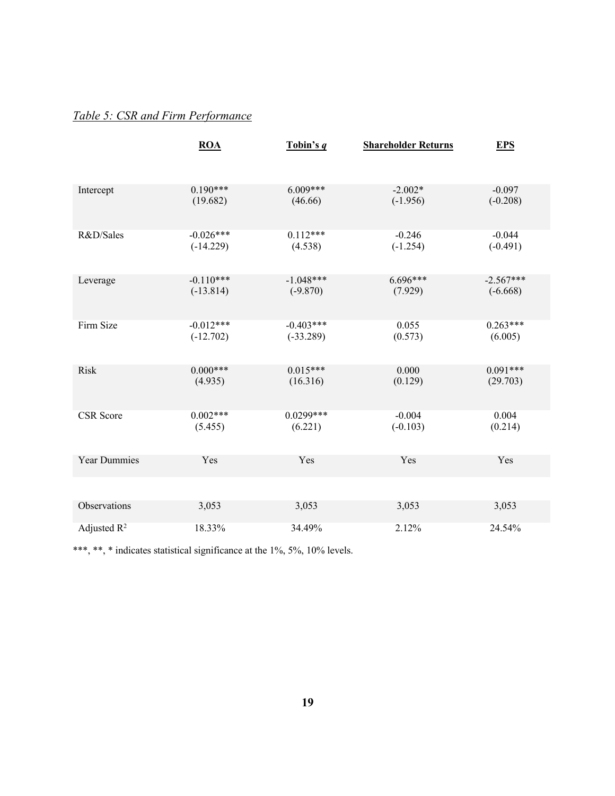# *Table 5: CSR and Firm Performance*

|                     | <b>ROA</b>  | Tobin's $q$ | <b>Shareholder Returns</b> | <b>EPS</b>  |
|---------------------|-------------|-------------|----------------------------|-------------|
| Intercept           | $0.190***$  | $6.009***$  | $-2.002*$                  | $-0.097$    |
|                     | (19.682)    | (46.66)     | $(-1.956)$                 | $(-0.208)$  |
| R&D/Sales           | $-0.026***$ | $0.112***$  | $-0.246$                   | $-0.044$    |
|                     | $(-14.229)$ | (4.538)     | $(-1.254)$                 | $(-0.491)$  |
| Leverage            | $-0.110***$ | $-1.048***$ | $6.696***$                 | $-2.567***$ |
|                     | $(-13.814)$ | $(-9.870)$  | (7.929)                    | $(-6.668)$  |
| Firm Size           | $-0.012***$ | $-0.403***$ | 0.055                      | $0.263***$  |
|                     | $(-12.702)$ | $(-33.289)$ | (0.573)                    | (6.005)     |
| <b>Risk</b>         | $0.000***$  | $0.015***$  | 0.000                      | $0.091***$  |
|                     | (4.935)     | (16.316)    | (0.129)                    | (29.703)    |
| CSR Score           | $0.002***$  | $0.0299***$ | $-0.004$                   | 0.004       |
|                     | (5.455)     | (6.221)     | $(-0.103)$                 | (0.214)     |
| <b>Year Dummies</b> | Yes         | Yes         | Yes                        | Yes         |
| Observations        | 3,053       | 3,053       | 3,053                      | 3,053       |
| Adjusted $R^2$      | 18.33%      | 34.49%      | 2.12%                      | 24.54%      |

\*\*\*, \*\*, \* indicates statistical significance at the 1%, 5%, 10% levels.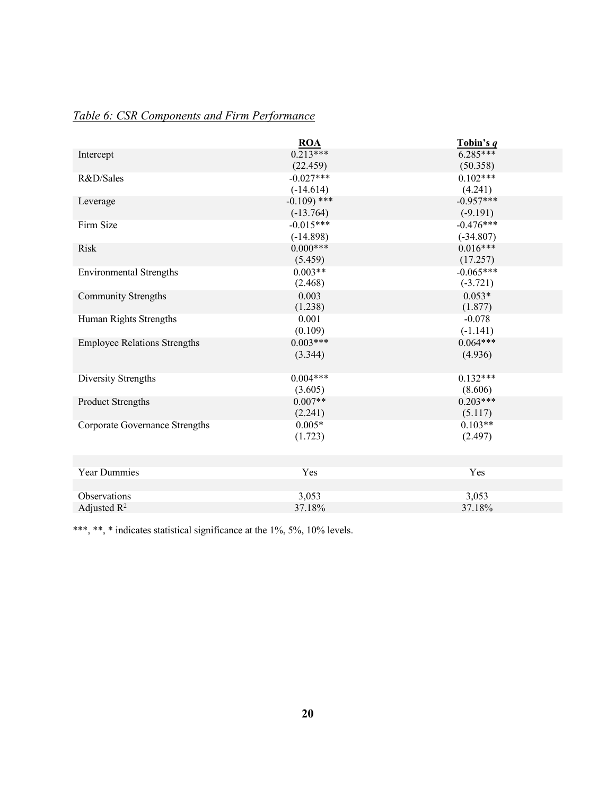|                                     | <b>ROA</b>   | Tobin's q   |
|-------------------------------------|--------------|-------------|
| Intercept                           | $0.213***$   | $6.285***$  |
|                                     | (22.459)     | (50.358)    |
| R&D/Sales                           | $-0.027***$  | $0.102***$  |
|                                     | $(-14.614)$  | (4.241)     |
| Leverage                            | $-0.109$ *** | $-0.957***$ |
|                                     | $(-13.764)$  | $(-9.191)$  |
| Firm Size                           | $-0.015***$  | $-0.476***$ |
|                                     | $(-14.898)$  | $(-34.807)$ |
| <b>Risk</b>                         | $0.000***$   | $0.016***$  |
|                                     | (5.459)      | (17.257)    |
| <b>Environmental Strengths</b>      | $0.003**$    | $-0.065***$ |
|                                     | (2.468)      | $(-3.721)$  |
| Community Strengths                 | 0.003        | $0.053*$    |
|                                     | (1.238)      | (1.877)     |
| Human Rights Strengths              | 0.001        | $-0.078$    |
|                                     | (0.109)      | $(-1.141)$  |
| <b>Employee Relations Strengths</b> | $0.003***$   | $0.064***$  |
|                                     | (3.344)      | (4.936)     |
|                                     |              |             |
| Diversity Strengths                 | $0.004***$   | $0.132***$  |
|                                     | (3.605)      | (8.606)     |
| Product Strengths                   | $0.007**$    | $0.203***$  |
|                                     | (2.241)      | (5.117)     |
| Corporate Governance Strengths      | $0.005*$     | $0.103**$   |
|                                     | (1.723)      | (2.497)     |
|                                     |              |             |
|                                     |              |             |
| Year Dummies                        | Yes          | Yes         |
|                                     |              |             |
| Observations                        | 3,053        | 3,053       |
| Adjusted $\mathbb{R}^2$             | 37.18%       | 37.18%      |

# *Table 6: CSR Components and Firm Performance*

\*\*\*, \*\*, \* indicates statistical significance at the 1%, 5%, 10% levels.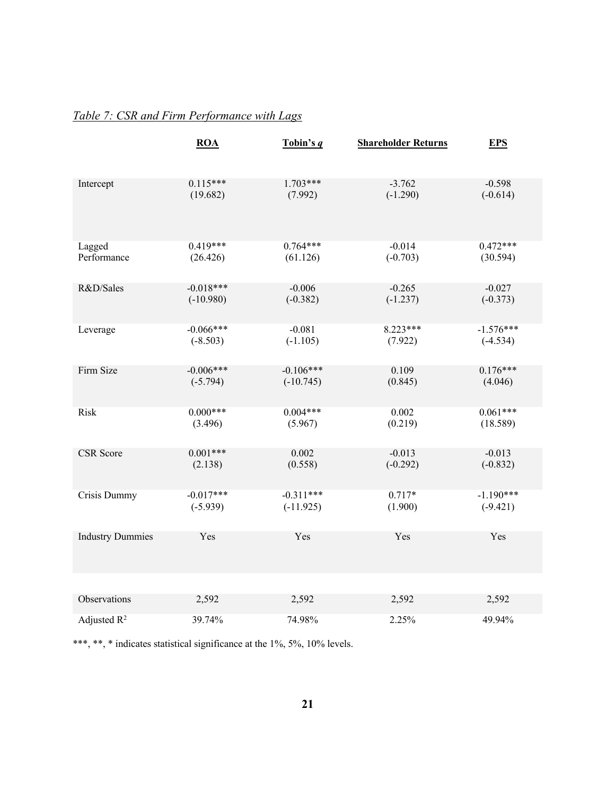## *Table 7: CSR and Firm Performance with Lags*

|                         | $\underline{ROA}$ | Tobin's $q$ | <b>Shareholder Returns</b> | <b>EPS</b>  |
|-------------------------|-------------------|-------------|----------------------------|-------------|
| Intercept               | $0.115***$        | $1.703***$  | $-3.762$                   | $-0.598$    |
|                         | (19.682)          | (7.992)     | $(-1.290)$                 | $(-0.614)$  |
| Lagged                  | $0.419***$        | $0.764***$  | $-0.014$                   | $0.472***$  |
| Performance             | (26.426)          | (61.126)    | $(-0.703)$                 | (30.594)    |
| R&D/Sales               | $-0.018***$       | $-0.006$    | $-0.265$                   | $-0.027$    |
|                         | $(-10.980)$       | $(-0.382)$  | $(-1.237)$                 | $(-0.373)$  |
| Leverage                | $-0.066***$       | $-0.081$    | $8.223***$                 | $-1.576***$ |
|                         | $(-8.503)$        | $(-1.105)$  | (7.922)                    | $(-4.534)$  |
| Firm Size               | $-0.006***$       | $-0.106***$ | 0.109                      | $0.176***$  |
|                         | $(-5.794)$        | $(-10.745)$ | (0.845)                    | (4.046)     |
| Risk                    | $0.000***$        | $0.004***$  | 0.002                      | $0.061***$  |
|                         | (3.496)           | (5.967)     | (0.219)                    | (18.589)    |
| <b>CSR</b> Score        | $0.001***$        | 0.002       | $-0.013$                   | $-0.013$    |
|                         | (2.138)           | (0.558)     | $(-0.292)$                 | $(-0.832)$  |
| Crisis Dummy            | $-0.017***$       | $-0.311***$ | $0.717*$                   | $-1.190***$ |
|                         | $(-5.939)$        | $(-11.925)$ | (1.900)                    | $(-9.421)$  |
| <b>Industry Dummies</b> | Yes               | Yes         | Yes                        | Yes         |
|                         |                   |             |                            |             |
| Observations            | 2,592             | 2,592       | 2,592                      | 2,592       |
| Adjusted $R^2$          | 39.74%            | 74.98%      | 2.25%                      | 49.94%      |

\*\*\*, \*\*, \* indicates statistical significance at the 1%, 5%, 10% levels.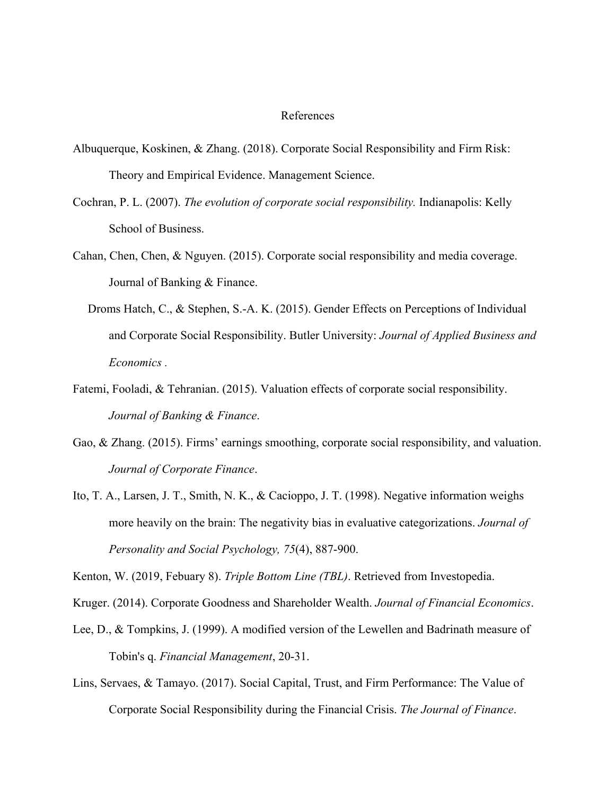#### References

- Albuquerque, Koskinen, & Zhang. (2018). Corporate Social Responsibility and Firm Risk: Theory and Empirical Evidence. Management Science.
- Cochran, P. L. (2007). *The evolution of corporate social responsibility.* Indianapolis: Kelly School of Business.
- Cahan, Chen, Chen, & Nguyen. (2015). Corporate social responsibility and media coverage. Journal of Banking & Finance.
	- Droms Hatch, C., & Stephen, S.-A. K. (2015). Gender Effects on Perceptions of Individual and Corporate Social Responsibility. Butler University: *Journal of Applied Business and Economics .*
- Fatemi, Fooladi, & Tehranian. (2015). Valuation effects of corporate social responsibility. *Journal of Banking & Finance*.
- Gao, & Zhang. (2015). Firms' earnings smoothing, corporate social responsibility, and valuation. *Journal of Corporate Finance*.
- Ito, T. A., Larsen, J. T., Smith, N. K., & Cacioppo, J. T. (1998). Negative information weighs more heavily on the brain: The negativity bias in evaluative categorizations. *Journal of Personality and Social Psychology, 75*(4), 887-900.

Kenton, W. (2019, Febuary 8). *Triple Bottom Line (TBL)*. Retrieved from Investopedia.

Kruger. (2014). Corporate Goodness and Shareholder Wealth. *Journal of Financial Economics*.

- Lee, D., & Tompkins, J. (1999). A modified version of the Lewellen and Badrinath measure of Tobin's q. *Financial Management*, 20-31.
- Lins, Servaes, & Tamayo. (2017). Social Capital, Trust, and Firm Performance: The Value of Corporate Social Responsibility during the Financial Crisis. *The Journal of Finance*.